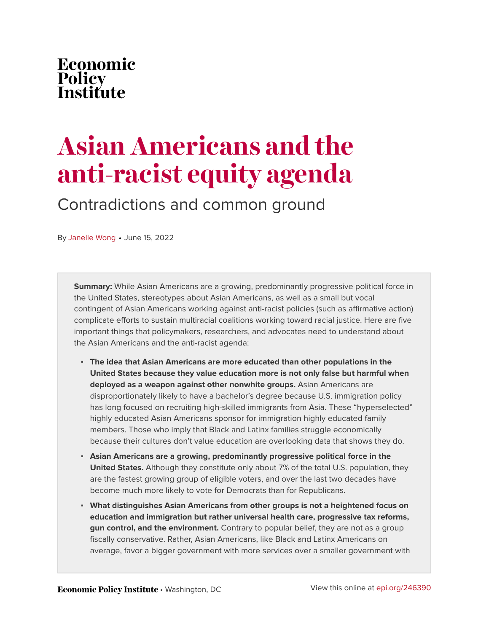# Economic Policy<br>Institute

# **Asian Americans and the anti-racist equity agenda**

Contradictions and common ground

By [Janelle Wong](https://www.epi.org/people/janelle-wong/) • June 15, 2022

**Summary:** While Asian Americans are a growing, predominantly progressive political force in the United States, stereotypes about Asian Americans, as well as a small but vocal contingent of Asian Americans working against anti-racist policies (such as affirmative action) complicate efforts to sustain multiracial coalitions working toward racial justice. Here are five important things that policymakers, researchers, and advocates need to understand about the Asian Americans and the anti-racist agenda:

- **The idea that Asian Americans are more educated than other populations in the United States because they value education more is not only false but harmful when deployed as a weapon against other nonwhite groups.** Asian Americans are disproportionately likely to have a bachelor's degree because U.S. immigration policy has long focused on recruiting high-skilled immigrants from Asia. These "hyperselected" highly educated Asian Americans sponsor for immigration highly educated family members. Those who imply that Black and Latinx families struggle economically because their cultures don't value education are overlooking data that shows they do.
- **Asian Americans are a growing, predominantly progressive political force in the United States.** Although they constitute only about 7% of the total U.S. population, they are the fastest growing group of eligible voters, and over the last two decades have become much more likely to vote for Democrats than for Republicans.
- **What distinguishes Asian Americans from other groups is not a heightened focus on education and immigration but rather universal health care, progressive tax reforms, gun control, and the environment.** Contrary to popular belief, they are not as a group fiscally conservative. Rather, Asian Americans, like Black and Latinx Americans on average, favor a bigger government with more services over a smaller government with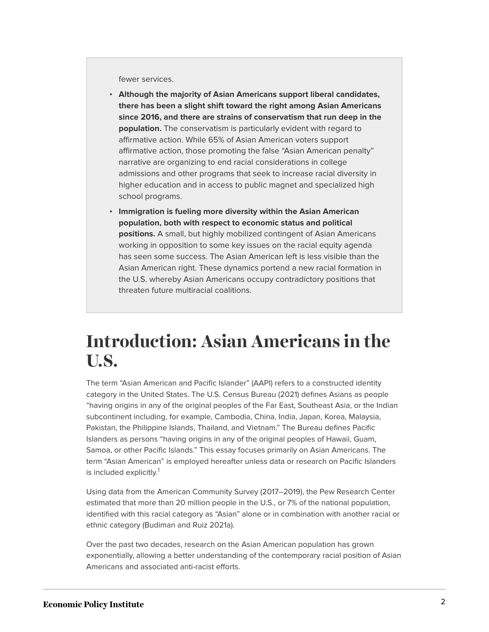fewer services.

- **Although the majority of Asian Americans support liberal candidates, there has been a slight shift toward the right among Asian Americans since 2016, and there are strains of conservatism that run deep in the population.** The conservatism is particularly evident with regard to affirmative action. While 65% of Asian American voters support affirmative action, those promoting the false "Asian American penalty" narrative are organizing to end racial considerations in college admissions and other programs that seek to increase racial diversity in higher education and in access to public magnet and specialized high school programs.
- **Immigration is fueling more diversity within the Asian American population, both with respect to economic status and political positions.** A small, but highly mobilized contingent of Asian Americans working in opposition to some key issues on the racial equity agenda has seen some success. The Asian American left is less visible than the Asian American right. These dynamics portend a new racial formation in the U.S. whereby Asian Americans occupy contradictory positions that threaten future multiracial coalitions.

### **Introduction: Asian Americans in the U.S.**

The term "Asian American and Pacific Islander" (AAPI) refers to a constructed identity category in the United States. The U.S. Census Bureau (2021) defines Asians as people "having origins in any of the original peoples of the Far East, Southeast Asia, or the Indian subcontinent including, for example, Cambodia, China, India, Japan, Korea, Malaysia, Pakistan, the Philippine Islands, Thailand, and Vietnam." The Bureau defines Pacific Islanders as persons "having origins in any of the original peoples of Hawaii, Guam, Samoa, or other Pacific Islands." This essay focuses primarily on Asian Americans. The term "Asian American" is employed hereafter unless data or research on Pacific Islanders is included explicitly.<sup>[1](#page-13-0)</sup>

<span id="page-1-0"></span>Using data from the American Community Survey (2017–2019), the Pew Research Center estimated that more than 20 million people in the U.S., or 7% of the national population, identified with this racial category as "Asian" alone or in combination with another racial or ethnic category (Budiman and Ruiz 2021a).

Over the past two decades, research on the Asian American population has grown exponentially, allowing a better understanding of the contemporary racial position of Asian Americans and associated anti-racist efforts.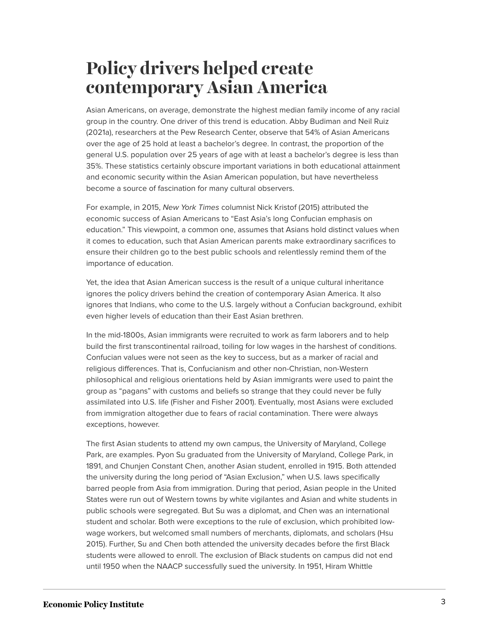### **Policy drivers helped create contemporary Asian America**

Asian Americans, on average, demonstrate the highest median family income of any racial group in the country. One driver of this trend is education. Abby Budiman and Neil Ruiz (2021a), researchers at the Pew Research Center, observe that 54% of Asian Americans over the age of 25 hold at least a bachelor's degree. In contrast, the proportion of the general U.S. population over 25 years of age with at least a bachelor's degree is less than 35%. These statistics certainly obscure important variations in both educational attainment and economic security within the Asian American population, but have nevertheless become a source of fascination for many cultural observers.

For example, in 2015, New York Times columnist Nick Kristof (2015) attributed the economic success of Asian Americans to "East Asia's long Confucian emphasis on education." This viewpoint, a common one, assumes that Asians hold distinct values when it comes to education, such that Asian American parents make extraordinary sacrifices to ensure their children go to the best public schools and relentlessly remind them of the importance of education.

Yet, the idea that Asian American success is the result of a unique cultural inheritance ignores the policy drivers behind the creation of contemporary Asian America. It also ignores that Indians, who come to the U.S. largely without a Confucian background, exhibit even higher levels of education than their East Asian brethren.

In the mid-1800s, Asian immigrants were recruited to work as farm laborers and to help build the first transcontinental railroad, toiling for low wages in the harshest of conditions. Confucian values were not seen as the key to success, but as a marker of racial and religious differences. That is, Confucianism and other non-Christian, non-Western philosophical and religious orientations held by Asian immigrants were used to paint the group as "pagans" with customs and beliefs so strange that they could never be fully assimilated into U.S. life (Fisher and Fisher 2001). Eventually, most Asians were excluded from immigration altogether due to fears of racial contamination. There were always exceptions, however.

The first Asian students to attend my own campus, the University of Maryland, College Park, are examples. Pyon Su graduated from the University of Maryland, College Park, in 1891, and Chunjen Constant Chen, another Asian student, enrolled in 1915. Both attended the university during the long period of "Asian Exclusion," when U.S. laws specifically barred people from Asia from immigration. During that period, Asian people in the United States were run out of Western towns by white vigilantes and Asian and white students in public schools were segregated. But Su was a diplomat, and Chen was an international student and scholar. Both were exceptions to the rule of exclusion, which prohibited lowwage workers, but welcomed small numbers of merchants, diplomats, and scholars (Hsu 2015). Further, Su and Chen both attended the university decades before the first Black students were allowed to enroll. The exclusion of Black students on campus did not end until 1950 when the NAACP successfully sued the university. In 1951, Hiram Whittle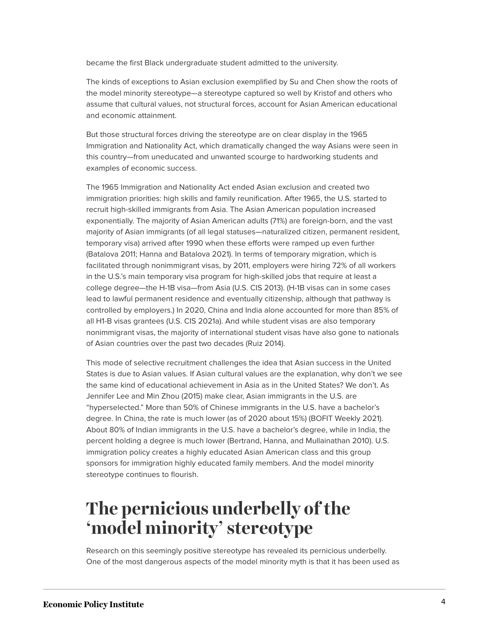became the first Black undergraduate student admitted to the university.

The kinds of exceptions to Asian exclusion exemplified by Su and Chen show the roots of the model minority stereotype—a stereotype captured so well by Kristof and others who assume that cultural values, not structural forces, account for Asian American educational and economic attainment.

But those structural forces driving the stereotype are on clear display in the 1965 Immigration and Nationality Act, which dramatically changed the way Asians were seen in this country—from uneducated and unwanted scourge to hardworking students and examples of economic success.

The 1965 Immigration and Nationality Act ended Asian exclusion and created two immigration priorities: high skills and family reunification. After 1965, the U.S. started to recruit high-skilled immigrants from Asia. The Asian American population increased exponentially. The majority of Asian American adults (71%) are foreign-born, and the vast majority of Asian immigrants (of all legal statuses—naturalized citizen, permanent resident, temporary visa) arrived after 1990 when these efforts were ramped up even further (Batalova 2011; Hanna and Batalova 2021). In terms of temporary migration, which is facilitated through nonimmigrant visas, by 2011, employers were hiring 72% of all workers in the U.S.'s main temporary visa program for high-skilled jobs that require at least a college degree—the H-1B visa—from Asia (U.S. CIS 2013). (H-1B visas can in some cases lead to lawful permanent residence and eventually citizenship, although that pathway is controlled by employers.) In 2020, China and India alone accounted for more than 85% of all H1-B visas grantees (U.S. CIS 2021a). And while student visas are also temporary nonimmigrant visas, the majority of international student visas have also gone to nationals of Asian countries over the past two decades (Ruiz 2014).

This mode of selective recruitment challenges the idea that Asian success in the United States is due to Asian values. If Asian cultural values are the explanation, why don't we see the same kind of educational achievement in Asia as in the United States? We don't. As Jennifer Lee and Min Zhou (2015) make clear, Asian immigrants in the U.S. are "hyperselected." More than 50% of Chinese immigrants in the U.S. have a bachelor's degree. In China, the rate is much lower (as of 2020 about 15%) (BOFIT Weekly 2021). About 80% of Indian immigrants in the U.S. have a bachelor's degree, while in India, the percent holding a degree is much lower (Bertrand, Hanna, and Mullainathan 2010). U.S. immigration policy creates a highly educated Asian American class and this group sponsors for immigration highly educated family members. And the model minority stereotype continues to flourish.

### **The pernicious underbelly of the 'model minority' stereotype**

Research on this seemingly positive stereotype has revealed its pernicious underbelly. One of the most dangerous aspects of the model minority myth is that it has been used as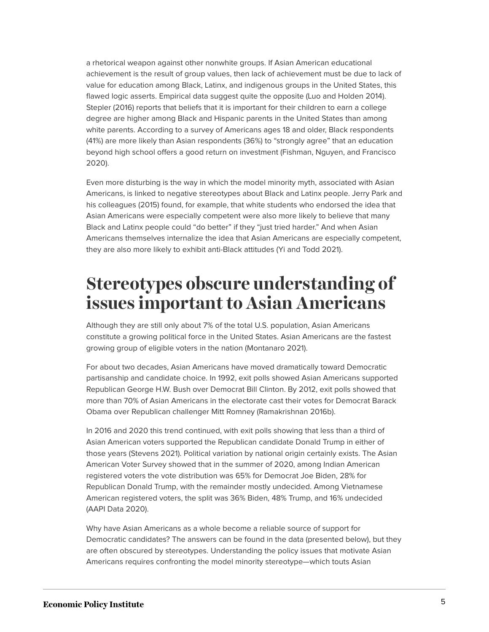a rhetorical weapon against other nonwhite groups. If Asian American educational achievement is the result of group values, then lack of achievement must be due to lack of value for education among Black, Latinx, and indigenous groups in the United States, this flawed logic asserts. Empirical data suggest quite the opposite (Luo and Holden 2014). Stepler (2016) reports that beliefs that it is important for their children to earn a college degree are higher among Black and Hispanic parents in the United States than among white parents. According to a survey of Americans ages 18 and older, Black respondents (41%) are more likely than Asian respondents (36%) to "strongly agree" that an education beyond high school offers a good return on investment (Fishman, Nguyen, and Francisco 2020).

Even more disturbing is the way in which the model minority myth, associated with Asian Americans, is linked to negative stereotypes about Black and Latinx people. Jerry Park and his colleagues (2015) found, for example, that white students who endorsed the idea that Asian Americans were especially competent were also more likely to believe that many Black and Latinx people could "do better" if they "just tried harder." And when Asian Americans themselves internalize the idea that Asian Americans are especially competent, they are also more likely to exhibit anti-Black attitudes (Yi and Todd 2021).

### **Stereotypes obscure understanding of issues important to Asian Americans**

Although they are still only about 7% of the total U.S. population, Asian Americans constitute a growing political force in the United States. Asian Americans are the fastest growing group of eligible voters in the nation (Montanaro 2021).

For about two decades, Asian Americans have moved dramatically toward Democratic partisanship and candidate choice. In 1992, exit polls showed Asian Americans supported Republican George H.W. Bush over Democrat Bill Clinton. By 2012, exit polls showed that more than 70% of Asian Americans in the electorate cast their votes for Democrat Barack Obama over Republican challenger Mitt Romney (Ramakrishnan 2016b).

In 2016 and 2020 this trend continued, with exit polls showing that less than a third of Asian American voters supported the Republican candidate Donald Trump in either of those years (Stevens 2021). Political variation by national origin certainly exists. The Asian American Voter Survey showed that in the summer of 2020, among Indian American registered voters the vote distribution was 65% for Democrat Joe Biden, 28% for Republican Donald Trump, with the remainder mostly undecided. Among Vietnamese American registered voters, the split was 36% Biden, 48% Trump, and 16% undecided (AAPI Data 2020).

Why have Asian Americans as a whole become a reliable source of support for Democratic candidates? The answers can be found in the data (presented below), but they are often obscured by stereotypes. Understanding the policy issues that motivate Asian Americans requires confronting the model minority stereotype—which touts Asian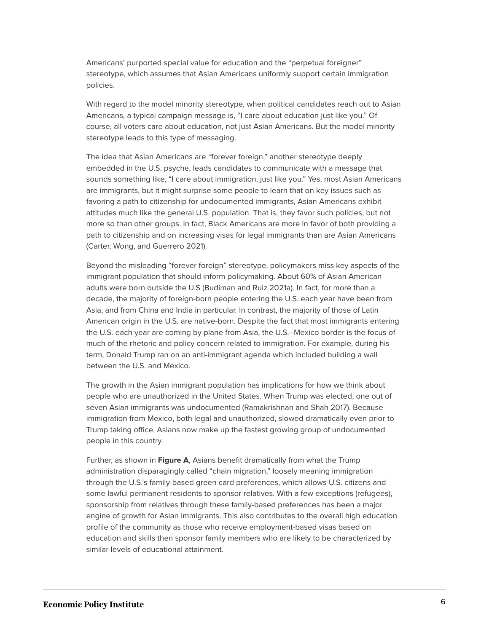Americans' purported special value for education and the "perpetual foreigner" stereotype, which assumes that Asian Americans uniformly support certain immigration policies.

With regard to the model minority stereotype, when political candidates reach out to Asian Americans, a typical campaign message is, "I care about education just like you." Of course, all voters care about education, not just Asian Americans. But the model minority stereotype leads to this type of messaging.

The idea that Asian Americans are "forever foreign," another stereotype deeply embedded in the U.S. psyche, leads candidates to communicate with a message that sounds something like, "I care about immigration, just like you." Yes, most Asian Americans are immigrants, but it might surprise some people to learn that on key issues such as favoring a path to citizenship for undocumented immigrants, Asian Americans exhibit attitudes much like the general U.S. population. That is, they favor such policies, but not more so than other groups. In fact, Black Americans are more in favor of both providing a path to citizenship and on increasing visas for legal immigrants than are Asian Americans (Carter, Wong, and Guerrero 2021).

Beyond the misleading "forever foreign" stereotype, policymakers miss key aspects of the immigrant population that should inform policymaking. About 60% of Asian American adults were born outside the U.S (Budiman and Ruiz 2021a). In fact, for more than a decade, the majority of foreign-born people entering the U.S. each year have been from Asia, and from China and India in particular. In contrast, the majority of those of Latin American origin in the U.S. are native-born. Despite the fact that most immigrants entering the U.S. each year are coming by plane from Asia, the U.S.–Mexico border is the focus of much of the rhetoric and policy concern related to immigration. For example, during his term, Donald Trump ran on an anti-immigrant agenda which included building a wall between the U.S. and Mexico.

The growth in the Asian immigrant population has implications for how we think about people who are unauthorized in the United States. When Trump was elected, one out of seven Asian immigrants was undocumented (Ramakrishnan and Shah 2017). Because immigration from Mexico, both legal and unauthorized, slowed dramatically even prior to Trump taking office, Asians now make up the fastest growing group of undocumented people in this country.

Further, as shown in **Figure A**, Asians benefit dramatically from what the Trump administration disparagingly called "chain migration," loosely meaning immigration through the U.S.'s family-based green card preferences, which allows U.S. citizens and some lawful permanent residents to sponsor relatives. With a few exceptions (refugees), sponsorship from relatives through these family-based preferences has been a major engine of growth for Asian immigrants. This also contributes to the overall high education profile of the community as those who receive employment-based visas based on education and skills then sponsor family members who are likely to be characterized by similar levels of educational attainment.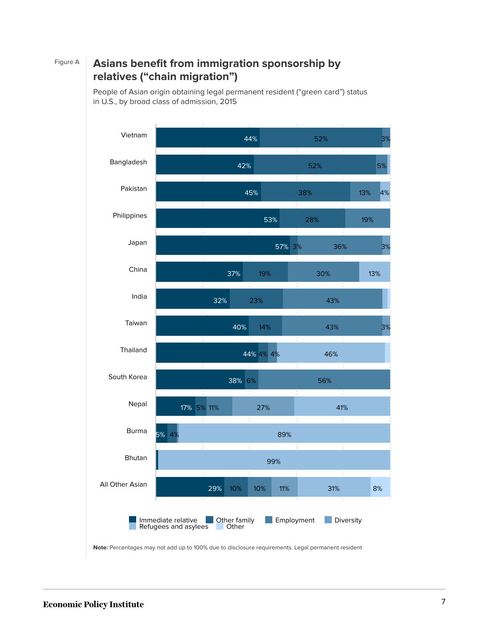### Figure A **Asians benefit from immigration sponsorship by relatives ("chain migration")**

People of Asian origin obtaining legal permanent resident ("green card") status in U.S., by broad class of admission, 2015



**Note:** Percentages may not add up to 100% due to disclosure requirements. Legal permanent resident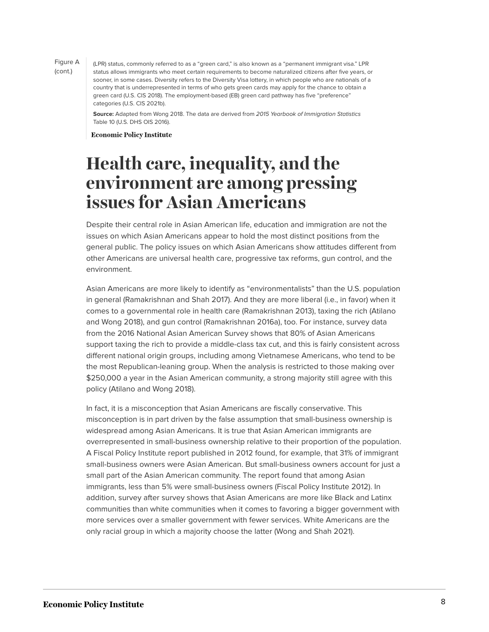Figure A (cont.)

(LPR) status, commonly referred to as a "green card," is also known as a "permanent immigrant visa." LPR status allows immigrants who meet certain requirements to become naturalized citizens after five years, or sooner, in some cases. Diversity refers to the Diversity Visa lottery, in which people who are nationals of a country that is underrepresented in terms of who gets green cards may apply for the chance to obtain a green card (U.S. CIS 2018). The employment-based (EB) green card pathway has five "preference" categories (U.S. CIS 2021b).

**Source:** Adapted from Wong 2018. The data are derived from 2015 Yearbook of Immigration Statistics Table 10 (U.S. DHS OIS 2016).

**Economic Policy Institute** 

### **Health care, inequality, and the environment are among pressing issues for Asian Americans**

Despite their central role in Asian American life, education and immigration are not the issues on which Asian Americans appear to hold the most distinct positions from the general public. The policy issues on which Asian Americans show attitudes different from other Americans are universal health care, progressive tax reforms, gun control, and the environment.

Asian Americans are more likely to identify as "environmentalists" than the U.S. population in general (Ramakrishnan and Shah 2017). And they are more liberal (i.e., in favor) when it comes to a governmental role in health care (Ramakrishnan 2013), taxing the rich (Atilano and Wong 2018), and gun control (Ramakrishnan 2016a), too. For instance, survey data from the 2016 National Asian American Survey shows that 80% of Asian Americans support taxing the rich to provide a middle-class tax cut, and this is fairly consistent across different national origin groups, including among Vietnamese Americans, who tend to be the most Republican-leaning group. When the analysis is restricted to those making over \$250,000 a year in the Asian American community, a strong majority still agree with this policy (Atilano and Wong 2018).

In fact, it is a misconception that Asian Americans are fiscally conservative. This misconception is in part driven by the false assumption that small-business ownership is widespread among Asian Americans. It is true that Asian American immigrants are overrepresented in small-business ownership relative to their proportion of the population. A Fiscal Policy Institute report published in 2012 found, for example, that 31% of immigrant small-business owners were Asian American. But small-business owners account for just a small part of the Asian American community. The report found that among Asian immigrants, less than 5% were small-business owners (Fiscal Policy Institute 2012). In addition, survey after survey shows that Asian Americans are more like Black and Latinx communities than white communities when it comes to favoring a bigger government with more services over a smaller government with fewer services. White Americans are the only racial group in which a majority choose the latter (Wong and Shah 2021).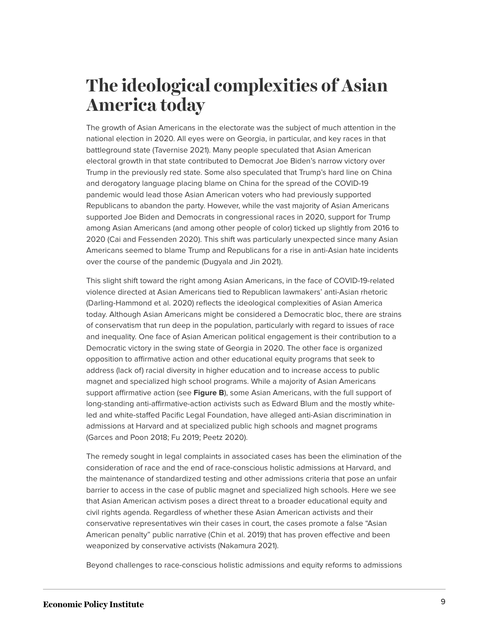### **The ideological complexities of Asian America today**

The growth of Asian Americans in the electorate was the subject of much attention in the national election in 2020. All eyes were on Georgia, in particular, and key races in that battleground state (Tavernise 2021). Many people speculated that Asian American electoral growth in that state contributed to Democrat Joe Biden's narrow victory over Trump in the previously red state. Some also speculated that Trump's hard line on China and derogatory language placing blame on China for the spread of the COVID-19 pandemic would lead those Asian American voters who had previously supported Republicans to abandon the party. However, while the vast majority of Asian Americans supported Joe Biden and Democrats in congressional races in 2020, support for Trump among Asian Americans (and among other people of color) ticked up slightly from 2016 to 2020 (Cai and Fessenden 2020). This shift was particularly unexpected since many Asian Americans seemed to blame Trump and Republicans for a rise in anti-Asian hate incidents over the course of the pandemic (Dugyala and Jin 2021).

This slight shift toward the right among Asian Americans, in the face of COVID-19-related violence directed at Asian Americans tied to Republican lawmakers' anti-Asian rhetoric (Darling-Hammond et al. 2020) reflects the ideological complexities of Asian America today. Although Asian Americans might be considered a Democratic bloc, there are strains of conservatism that run deep in the population, particularly with regard to issues of race and inequality. One face of Asian American political engagement is their contribution to a Democratic victory in the swing state of Georgia in 2020. The other face is organized opposition to affirmative action and other educational equity programs that seek to address (lack of) racial diversity in higher education and to increase access to public magnet and specialized high school programs. While a majority of Asian Americans support affirmative action (see **Figure B**), some Asian Americans, with the full support of long-standing anti-affirmative-action activists such as Edward Blum and the mostly whiteled and white-staffed Pacific Legal Foundation, have alleged anti-Asian discrimination in admissions at Harvard and at specialized public high schools and magnet programs (Garces and Poon 2018; Fu 2019; Peetz 2020).

The remedy sought in legal complaints in associated cases has been the elimination of the consideration of race and the end of race-conscious holistic admissions at Harvard, and the maintenance of standardized testing and other admissions criteria that pose an unfair barrier to access in the case of public magnet and specialized high schools. Here we see that Asian American activism poses a direct threat to a broader educational equity and civil rights agenda. Regardless of whether these Asian American activists and their conservative representatives win their cases in court, the cases promote a false "Asian American penalty" public narrative (Chin et al. 2019) that has proven effective and been weaponized by conservative activists (Nakamura 2021).

Beyond challenges to race-conscious holistic admissions and equity reforms to admissions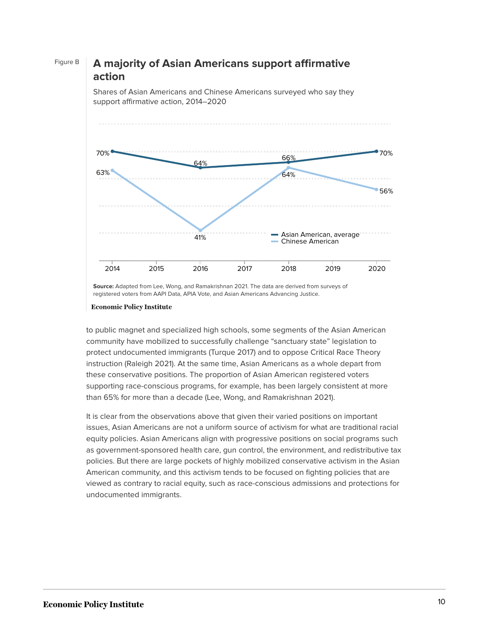#### Figure B **A majority of Asian Americans support affirmative action**

70% 64% 66% 70% 63% 41% 64% 56% Asian American, average Chinese American 2014 2015 2016 2017 2018 2019 2020

Shares of Asian Americans and Chinese Americans surveyed who say they support affirmative action, 2014–2020

**Source:** Adapted from Lee, Wong, and Ramakrishnan 2021. The data are derived from surveys of registered voters from AAPI Data, APIA Vote, and Asian Americans Advancing Justice.

#### **Economic Policy Institute**

to public magnet and specialized high schools, some segments of the Asian American community have mobilized to successfully challenge "sanctuary state" legislation to protect undocumented immigrants (Turque 2017) and to oppose Critical Race Theory instruction (Raleigh 2021). At the same time, Asian Americans as a whole depart from these conservative positions. The proportion of Asian American registered voters supporting race-conscious programs, for example, has been largely consistent at more than 65% for more than a decade (Lee, Wong, and Ramakrishnan 2021).

It is clear from the observations above that given their varied positions on important issues, Asian Americans are not a uniform source of activism for what are traditional racial equity policies. Asian Americans align with progressive positions on social programs such as government-sponsored health care, gun control, the environment, and redistributive tax policies. But there are large pockets of highly mobilized conservative activism in the Asian American community, and this activism tends to be focused on fighting policies that are viewed as contrary to racial equity, such as race-conscious admissions and protections for undocumented immigrants.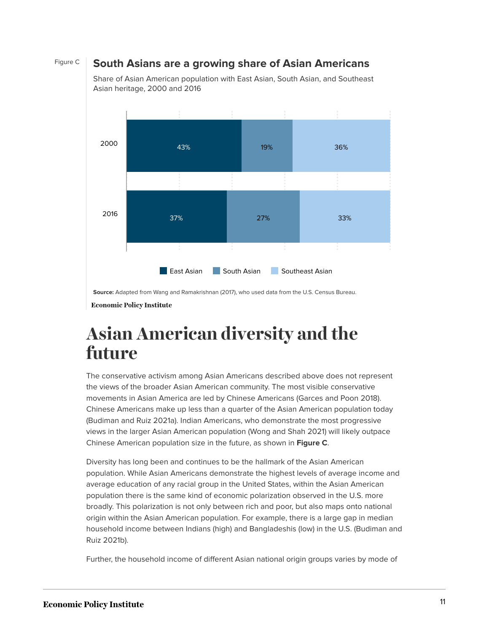#### Figure C **South Asians are a growing share of Asian Americans**



Share of Asian American population with East Asian, South Asian, and Southeast Asian heritage, 2000 and 2016

**Source:** Adapted from Wang and Ramakrishnan (2017), who used data from the U.S. Census Bureau.

**Economic Policy Institute** 

### **Asian American diversity and the future**

The conservative activism among Asian Americans described above does not represent the views of the broader Asian American community. The most visible conservative movements in Asian America are led by Chinese Americans (Garces and Poon 2018). Chinese Americans make up less than a quarter of the Asian American population today (Budiman and Ruiz 2021a). Indian Americans, who demonstrate the most progressive views in the larger Asian American population (Wong and Shah 2021) will likely outpace Chinese American population size in the future, as shown in **Figure C**.

Diversity has long been and continues to be the hallmark of the Asian American population. While Asian Americans demonstrate the highest levels of average income and average education of any racial group in the United States, within the Asian American population there is the same kind of economic polarization observed in the U.S. more broadly. This polarization is not only between rich and poor, but also maps onto national origin within the Asian American population. For example, there is a large gap in median household income between Indians (high) and Bangladeshis (low) in the U.S. (Budiman and Ruiz 2021b).

Further, the household income of different Asian national origin groups varies by mode of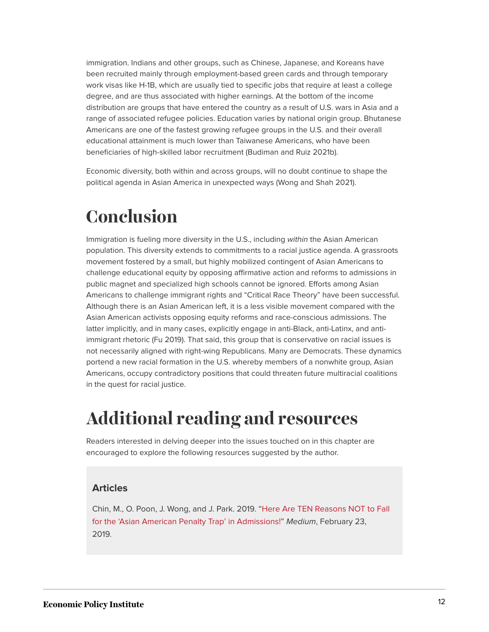immigration. Indians and other groups, such as Chinese, Japanese, and Koreans have been recruited mainly through employment-based green cards and through temporary work visas like H-1B, which are usually tied to specific jobs that require at least a college degree, and are thus associated with higher earnings. At the bottom of the income distribution are groups that have entered the country as a result of U.S. wars in Asia and a range of associated refugee policies. Education varies by national origin group. Bhutanese Americans are one of the fastest growing refugee groups in the U.S. and their overall educational attainment is much lower than Taiwanese Americans, who have been beneficiaries of high-skilled labor recruitment (Budiman and Ruiz 2021b).

Economic diversity, both within and across groups, will no doubt continue to shape the political agenda in Asian America in unexpected ways (Wong and Shah 2021).

## **Conclusion**

Immigration is fueling more diversity in the U.S., including within the Asian American population. This diversity extends to commitments to a racial justice agenda. A grassroots movement fostered by a small, but highly mobilized contingent of Asian Americans to challenge educational equity by opposing affirmative action and reforms to admissions in public magnet and specialized high schools cannot be ignored. Efforts among Asian Americans to challenge immigrant rights and "Critical Race Theory" have been successful. Although there is an Asian American left, it is a less visible movement compared with the Asian American activists opposing equity reforms and race-conscious admissions. The latter implicitly, and in many cases, explicitly engage in anti-Black, anti-Latinx, and antiimmigrant rhetoric (Fu 2019). That said, this group that is conservative on racial issues is not necessarily aligned with right-wing Republicans. Many are Democrats. These dynamics portend a new racial formation in the U.S. whereby members of a nonwhite group, Asian Americans, occupy contradictory positions that could threaten future multiracial coalitions in the quest for racial justice.

### **Additional reading and resources**

Readers interested in delving deeper into the issues touched on in this chapter are encouraged to explore the following resources suggested by the author.

#### **Articles**

Chin, M., O. Poon, J. Wong, and J. Park. 2019. "[Here Are TEN Reasons NOT to Fall](https://medium.com/@dddefenddiversitydd/anti-asian-american-bias-exists-but-here-are-ten-reasons-not-to-fall-for-the-asian-american-71ef01195189) [for the 'Asian American Penalty Trap' in Admissions!"](https://medium.com/@dddefenddiversitydd/anti-asian-american-bias-exists-but-here-are-ten-reasons-not-to-fall-for-the-asian-american-71ef01195189) Medium, February 23, 2019.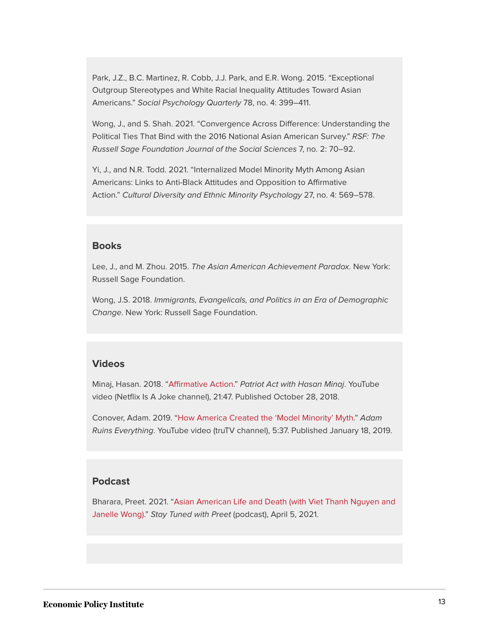Park, J.Z., B.C. Martinez, R. Cobb, J.J. Park, and E.R. Wong. 2015. "Exceptional Outgroup Stereotypes and White Racial Inequality Attitudes Toward Asian Americans." Social Psychology Quarterly 78, no. 4: 399–411.

Wong, J., and S. Shah. 2021. "Convergence Across Difference: Understanding the Political Ties That Bind with the 2016 National Asian American Survey." RSF: The Russell Sage Foundation Journal of the Social Sciences 7, no. 2: 70–92.

Yi, J., and N.R. Todd. 2021. "Internalized Model Minority Myth Among Asian Americans: Links to Anti-Black Attitudes and Opposition to Affirmative Action." Cultural Diversity and Ethnic Minority Psychology 27, no. 4: 569–578.

#### **Books**

Lee, J., and M. Zhou. 2015. The Asian American Achievement Paradox. New York: Russell Sage Foundation.

Wong, J.S. 2018. Immigrants, Evangelicals, and Politics in an Era of Demographic Change. New York: Russell Sage Foundation.

#### **Videos**

Minaj, Hasan. 2018. ["Affirmative Action](https://www.youtube.com/watch?v=zm5QVcTI2I8)." Patriot Act with Hasan Minaj. YouTube video (Netflix Is A Joke channel), 21:47. Published October 28, 2018.

Conover, Adam. 2019. "[How America Created the 'Model Minority' Myth.](https://www.youtube.com/watch?v=Pg1X1KkVxN4)" Adam Ruins Everything. YouTube video (truTV channel), 5:37. Published January 18, 2019.

#### **Podcast**

Bharara, Preet. 2021. "[Asian American Life and Death \(with Viet Thanh Nguyen and](https://cafe.com/stay-tuned/asian-american-life-and-death-with-viet-thanh-nguyen-and-janelle-wong/) [Janelle Wong\)](https://cafe.com/stay-tuned/asian-american-life-and-death-with-viet-thanh-nguyen-and-janelle-wong/)." Stay Tuned with Preet (podcast), April 5, 2021.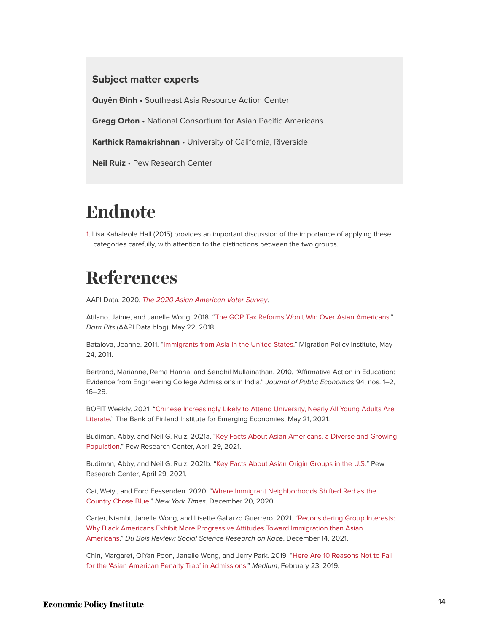#### **Subject matter experts**

**Quyên Ðinh** • Southeast Asia Resource Action Center

**Gregg Orton** • National Consortium for Asian Pacific Americans

**Karthick Ramakrishnan** • University of California, Riverside

**Neil Ruiz** • Pew Research Center

### **Endnote**

<span id="page-13-0"></span>[1.](#page-1-0) Lisa Kahaleole Hall (2015) provides an important discussion of the importance of applying these categories carefully, with attention to the distinctions between the two groups.

### **References**

AAPI Data. 2020. [The 2020 Asian American Voter Survey](https://aapidata.com/wp-content/uploads/2020/09/aavs2020_crosstab_national.html).

Atilano, Jaime, and Janelle Wong. 2018. ["The GOP Tax Reforms Won't Win Over Asian Americans.](http://aapidata.com/blog/the-gops-tax-reforms-wont-win-over-asian-americans-in-2018/,)" Data Bits (AAPI Data blog), May 22, 2018.

Batalova, Jeanne. 2011. "[Immigrants from Asia in the United States](https://www.migrationpolicy.org/article/asian-immigrants-united-states-2009)." Migration Policy Institute, May 24, 2011.

Bertrand, Marianne, Rema Hanna, and Sendhil Mullainathan. 2010. "Affirmative Action in Education: Evidence from Engineering College Admissions in India." Journal of Public Economics 94, nos. 1–2, 16–29.

BOFIT Weekly. 2021. "[Chinese Increasingly Likely to Attend University, Nearly All Young Adults Are](https://www.bofit.fi/en/monitoring/weekly/2021/vw202120_3/) [Literate.](https://www.bofit.fi/en/monitoring/weekly/2021/vw202120_3/)" The Bank of Finland Institute for Emerging Economies, May 21, 2021.

Budiman, Abby, and Neil G. Ruiz. 2021a. "[Key Facts About Asian Americans, a Diverse and Growing](https://www.pewresearch.org/fact-tank/2021/04/29/key-facts-about-asian-americans/) [Population.](https://www.pewresearch.org/fact-tank/2021/04/29/key-facts-about-asian-americans/)" Pew Research Center, April 29, 2021.

Budiman, Abby, and Neil G. Ruiz. 2021b. "[Key Facts About Asian Origin Groups in the U.S."](https://www.pewresearch.org/fact-tank/2021/04/29/key-facts-about-asian-origin-groups-in-the-u-s/) Pew Research Center, April 29, 2021.

Cai, Weiyi, and Ford Fessenden. 2020. "[Where Immigrant Neighborhoods Shifted Red as the](https://www.nytimes.com/interactive/2020/12/20/us/politics/election-hispanics-asians-voting.html) [Country Chose Blue](https://www.nytimes.com/interactive/2020/12/20/us/politics/election-hispanics-asians-voting.html)." New York Times, December 20, 2020.

Carter, Niambi, Janelle Wong, and Lisette Gallarzo Guerrero. 2021. ["Reconsidering Group Interests:](https://www.cambridge.org/core/journals/du-bois-review-social-science-research-on-race/article/reconsidering-group-interests/6BDB0BF388EC849E3C572B8A59E122A5) [Why Black Americans Exhibit More Progressive Attitudes Toward Immigration than Asian](https://www.cambridge.org/core/journals/du-bois-review-social-science-research-on-race/article/reconsidering-group-interests/6BDB0BF388EC849E3C572B8A59E122A5) [Americans.](https://www.cambridge.org/core/journals/du-bois-review-social-science-research-on-race/article/reconsidering-group-interests/6BDB0BF388EC849E3C572B8A59E122A5)" Du Bois Review: Social Science Research on Race, December 14, 2021.

Chin, Margaret, OiYan Poon, Janelle Wong, and Jerry Park. 2019. "[Here Are 10 Reasons Not to Fall](https://medium.com/@dddefenddiversitydd/anti-asian-american-bias-exists-but-here-are-ten-reasons-not-to-fall-for-the-asian-american-71ef01195189) [for the 'Asian American Penalty Trap' in Admissions](https://medium.com/@dddefenddiversitydd/anti-asian-american-bias-exists-but-here-are-ten-reasons-not-to-fall-for-the-asian-american-71ef01195189)." Medium, February 23, 2019.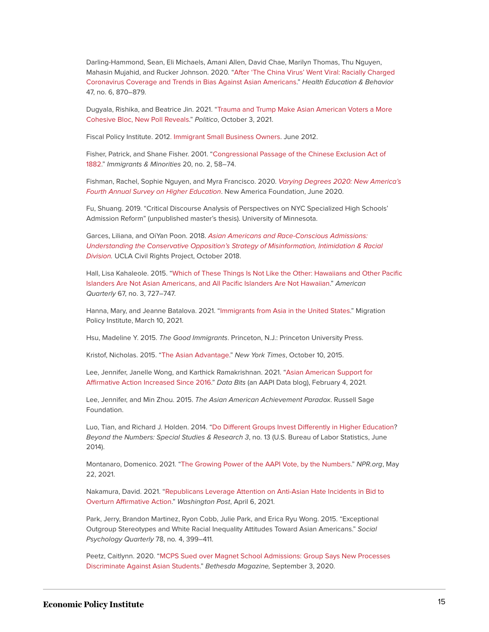Darling-Hammond, Sean, Eli Michaels, Amani Allen, David Chae, Marilyn Thomas, Thu Nguyen, Mahasin Mujahid, and Rucker Johnson. 2020. ["After 'The China Virus' Went Viral: Racially Charged](https://doi.org/10.1177/1090198120957949) [Coronavirus Coverage and Trends in Bias Against Asian Americans](https://doi.org/10.1177/1090198120957949)." Health Education & Behavior 47, no. 6, 870–879.

Dugyala, Rishika, and Beatrice Jin. 2021. ["Trauma and Trump Make Asian American Voters a More](https://www.politico.com/interactives/2021/asian-american-community-voting-trends-polling/) [Cohesive Bloc, New Poll Reveals.](https://www.politico.com/interactives/2021/asian-american-community-voting-trends-polling/)" Politico, October 3, 2021.

Fiscal Policy Institute. 201[2. Immigrant Small Business Owners.](http://fiscalpolicy.org/wp-content/uploads/2012/06/immigrant-small-business-owners-FPI-20120614.pdf) June 2012.

Fisher, Patrick, and Shane Fisher. 2001. "[Congressional Passage of the Chinese Exclusion Act of](https://www.tandfonline.com/doi/abs/10.1080/02619288.2001.9975015) [1882.](https://www.tandfonline.com/doi/abs/10.1080/02619288.2001.9975015)" Immigrants & Minorities 20, no. 2, 58–74.

Fishman, Rachel, Sophie Nguyen, and Myra Francisco. 2020. [Varying Degrees 2020: New America's](https://d1y8sb8igg2f8e.cloudfront.net/documents/Varying_Degrees_2020.pdf) [Fourth Annual Survey on Higher Education](https://d1y8sb8igg2f8e.cloudfront.net/documents/Varying_Degrees_2020.pdf). New America Foundation, June 2020.

Fu, Shuang. 2019. "Critical Discourse Analysis of Perspectives on NYC Specialized High Schools' Admission Reform" (unpublished master's thesis). University of Minnesota.

Garces, Liliana, and OiYan Poon. 2018. [Asian Americans and Race-Conscious Admissions:](https://www.civilrightsproject.ucla.edu/research/college-access/affirmative-action/asian-americans-and-race-conscious-admissions-understanding-the-conservative-opposition2019s-strategy-of-misinformation-intimidation-racial-division) [Understanding the Conservative Opposition's Strategy of Misinformation, Intimidation & Racial](https://www.civilrightsproject.ucla.edu/research/college-access/affirmative-action/asian-americans-and-race-conscious-admissions-understanding-the-conservative-opposition2019s-strategy-of-misinformation-intimidation-racial-division) [Division](https://www.civilrightsproject.ucla.edu/research/college-access/affirmative-action/asian-americans-and-race-conscious-admissions-understanding-the-conservative-opposition2019s-strategy-of-misinformation-intimidation-racial-division). UCLA Civil Rights Project, October 2018.

Hall, Lisa Kahaleole. 2015. "[Which of These Things Is Not Like the Other: Hawaiians and Other Pacific](https://muse.jhu.edu/article/593313/pdf) [Islanders Are Not Asian Americans, and All Pacific Islanders Are Not Hawaiian.](https://muse.jhu.edu/article/593313/pdf)" American Quarterly 67, no. 3, 727–747.

Hanna, Mary, and Jeanne Batalova. 2021. "[Immigrants from Asia in the United States](https://www.migrationpolicy.org/article/immigrants-asia-united-states-2020)." Migration Policy Institute, March 10, 2021.

Hsu, Madeline Y. 2015. The Good Immigrants. Princeton, N.J.: Princeton University Press.

Kristof, Nicholas. 2015. ["The Asian Advantage.](https://www.nytimes.com/2015/10/11/opinion/sunday/the-asian-advantage.html)" New York Times, October 10, 2015.

Lee, Jennifer, Janelle Wong, and Karthick Ramakrishnan. 2021. ["Asian American Support for](http://aapidata.com/blog/affirmative-action-increase/) [Affirmative Action Increased Since 2016](http://aapidata.com/blog/affirmative-action-increase/)." Data Bits (an AAPI Data blog), February 4, 2021.

Lee, Jennifer, and Min Zhou. 2015. The Asian American Achievement Paradox. Russell Sage Foundation.

Luo, Tian, and Richard J. Holden. 2014. "[Do Different Groups Invest Differently in Higher Education](https://www.bls.gov/opub/btn/volume-3/do-different-groups-invest-differently-in-higher-education.htm)? Beyond the Numbers: Special Studies & Research 3, no. 13 (U.S. Bureau of Labor Statistics, June 2014).

Montanaro, Domenico. 2021. "[The Growing Power of the AAPI Vote, by the Numbers](https://www.npr.org/2021/05/22/999345393/the-growing-power-of-the-aapi-vote-by-the-numbers)." NPR.org, May 22, 2021.

Nakamura, David. 2021. "[Republicans Leverage Attention on Anti-Asian Hate Incidents in Bid to](https://www.washingtonpost.com/national-security/asian-americans-affirmative-action/2021/04/06/355454a8-96fa-11eb-a6d0-13d207aadb78_story.html) [Overturn Affirmative Action.](https://www.washingtonpost.com/national-security/asian-americans-affirmative-action/2021/04/06/355454a8-96fa-11eb-a6d0-13d207aadb78_story.html)" Washington Post, April 6, 2021.

Park, Jerry, Brandon Martinez, Ryon Cobb, Julie Park, and Erica Ryu Wong. 2015. "Exceptional Outgroup Stereotypes and White Racial Inequality Attitudes Toward Asian Americans." Social Psychology Quarterly 78, no. 4, 399–411.

Peetz, Caitlynn. 2020. ["MCPS Sued over Magnet School Admissions: Group Says New Processes](https://bethesdamagazine.com/bethesda-beat/schools/mcps-sued-over-magnet-school-admissions/) [Discriminate Against Asian Students.](https://bethesdamagazine.com/bethesda-beat/schools/mcps-sued-over-magnet-school-admissions/)" Bethesda Magazine, September 3, 2020.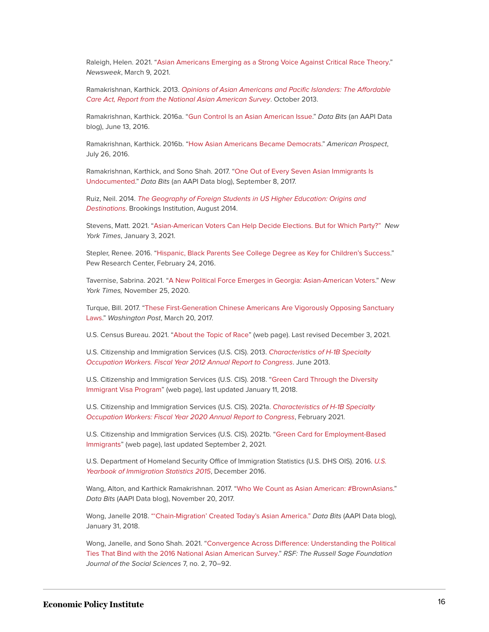Raleigh, Helen. 2021. "[Asian Americans Emerging as a Strong Voice Against Critical Race Theory](https://www.newsweek.com/asian-americans-emerging-strong-voice-against-critical-race-theory-opinion-1574503)." Newsweek, March 9, 2021.

Ramakrishnan, Karthick. 2013. [Opinions of Asian Americans and Pacific Islanders: The Affordable](http://naasurvey.com/aapi-opinion-on-the-affordable-care-act/) [Care Act, Report from the National Asian American Survey](http://naasurvey.com/aapi-opinion-on-the-affordable-care-act/). October 2013.

Ramakrishnan, Karthick. 2016a. "[Gun Control Is an Asian American Issue](http://aapidata.com/blog/asian-americans-gun-control/)." Data Bits (an AAPI Data blog), June 13, 2016.

Ramakrishnan, Karthick. 2016b. ["How Asian Americans Became Democrats](https://prospect.org/civil-rights/asian-americans-became-democrats/)." American Prospect, July 26, 2016.

Ramakrishnan, Karthick, and Sono Shah. 2017. ["One Out of Every Seven Asian Immigrants Is](http://aapidata.com/blog/asian-undoc-1in7/) [Undocumented](http://aapidata.com/blog/asian-undoc-1in7/)." Data Bits (an AAPI Data blog), September 8, 2017.

Ruiz, Neil. 2014. [The Geography of Foreign Students in US Higher Education: Origins and](https://www.brookings.edu/interactives/the-geography-of-foreign-students-in-u-s-higher-education-origins-and-destinations/) [Destinations](https://www.brookings.edu/interactives/the-geography-of-foreign-students-in-u-s-higher-education-origins-and-destinations/). Brookings Institution, August 2014.

Stevens, Matt. 2021. "[Asian-American Voters Can Help Decide Elections. But for Which Party?"](https://www.nytimes.com/2021/01/03/us/politics/asian-american-voters.html) New York Times, January 3, 2021.

Stepler, Renee. 2016. "[Hispanic, Black Parents See College Degree as Key for Children's Success.](https://www.pewresearch.org/fact-tank/2016/02/24/hispanic-black-parents-see-college-degree-as-key-for-childrens-success/)" Pew Research Center, February 24, 2016.

Tavernise, Sabrina. 2021. ["A New Political Force Emerges in Georgia: Asian-American Voters.](https://www.nytimes.com/2020/11/25/us/georgia-asian-american-voters.html)" New York Times, November 25, 2020.

Turque, Bill. 2017. ["These First-Generation Chinese Americans Are Vigorously Opposing Sanctuary](https://www.washingtonpost.com/local/md-politics/these-first-generation-chinese-americans-are-loudly-opposing-sanctuary-laws/2017/03/17/92728e94-09db-11e7-93dc-00f9bdd74ed1_story.html) [Laws.](https://www.washingtonpost.com/local/md-politics/these-first-generation-chinese-americans-are-loudly-opposing-sanctuary-laws/2017/03/17/92728e94-09db-11e7-93dc-00f9bdd74ed1_story.html)" Washington Post, March 20, 2017.

U.S. Census Bureau. 2021. ["About the Topic of Race](https://www.census.gov/topics/population/race/about.html)" (web page). Last revised December 3, 2021.

U.S. Citizenship and Immigration Services (U.S. CIS). 2013. [Characteristics of H-1B Specialty](https://www.uscis.gov/sites/default/files/document/reports/h1b-fy-12-characteristics.pdf) [Occupation Workers. Fiscal Year 2012 Annual Report to Congress](https://www.uscis.gov/sites/default/files/document/reports/h1b-fy-12-characteristics.pdf). June 2013.

U.S. Citizenship and Immigration Services (U.S. CIS). 2018. ["Green Card Through the Diversity](https://www.uscis.gov/green-card/green-card-eligibility/green-card-through-the-diversity-immigrant-visa-program) [Immigrant Visa Program](https://www.uscis.gov/green-card/green-card-eligibility/green-card-through-the-diversity-immigrant-visa-program)" (web page), last updated January 11, 2018.

U.S. Citizenship and Immigration Services (U.S. CIS). 2021a. [Characteristics of H-1B Specialty](https://www.uscis.gov/sites/default/files/document/reports/Characteristics_of_Specialty_Occupation_Workers_H-1B_Fiscal_Year_2020.pdf) [Occupation Workers: Fiscal Year 2020 Annual Report to Congress](https://www.uscis.gov/sites/default/files/document/reports/Characteristics_of_Specialty_Occupation_Workers_H-1B_Fiscal_Year_2020.pdf), February 2021.

U.S. Citizenship and Immigration Services (U.S. CIS). 2021b. "[Green Card for Employment-Based](https://www.uscis.gov/green-card/green-card-eligibility/green-card-for-employment-based-immigrants) [Immigrants](https://www.uscis.gov/green-card/green-card-eligibility/green-card-for-employment-based-immigrants)" (web page), last updated September 2, 2021.

U.S. Department of Homeland Security Office of Immigration Statistics (U.S. DHS OIS). 2016. [U.S.](https://www.dhs.gov/sites/default/files/publications/Yearbook_Immigration_Statistics_2015.pdf) [Yearbook of Immigration Statistics 2015](https://www.dhs.gov/sites/default/files/publications/Yearbook_Immigration_Statistics_2015.pdf), December 2016.

Wang, Alton, and Karthick Ramakrishnan. 2017. "[Who We Count as Asian American: #BrownAsians](http://aapidata.com/blog/who-we-count-as-asian-american-brownasians/)." Data Bits (AAPI Data blog), November 20, 2017.

Wong, Janelle 2018. "Chain-Migration' Created Today's Asian America." Data Bits (AAPI Data blog), January 31, 2018.

Wong, Janelle, and Sono Shah. 2021. ["Convergence Across Difference: Understanding the Political](https://www.rsfjournal.org/content/7/2/70) [Ties That Bind with the 2016 National Asian American Survey.](https://www.rsfjournal.org/content/7/2/70)" RSF: The Russell Sage Foundation Journal of the Social Sciences 7, no. 2, 70–92.